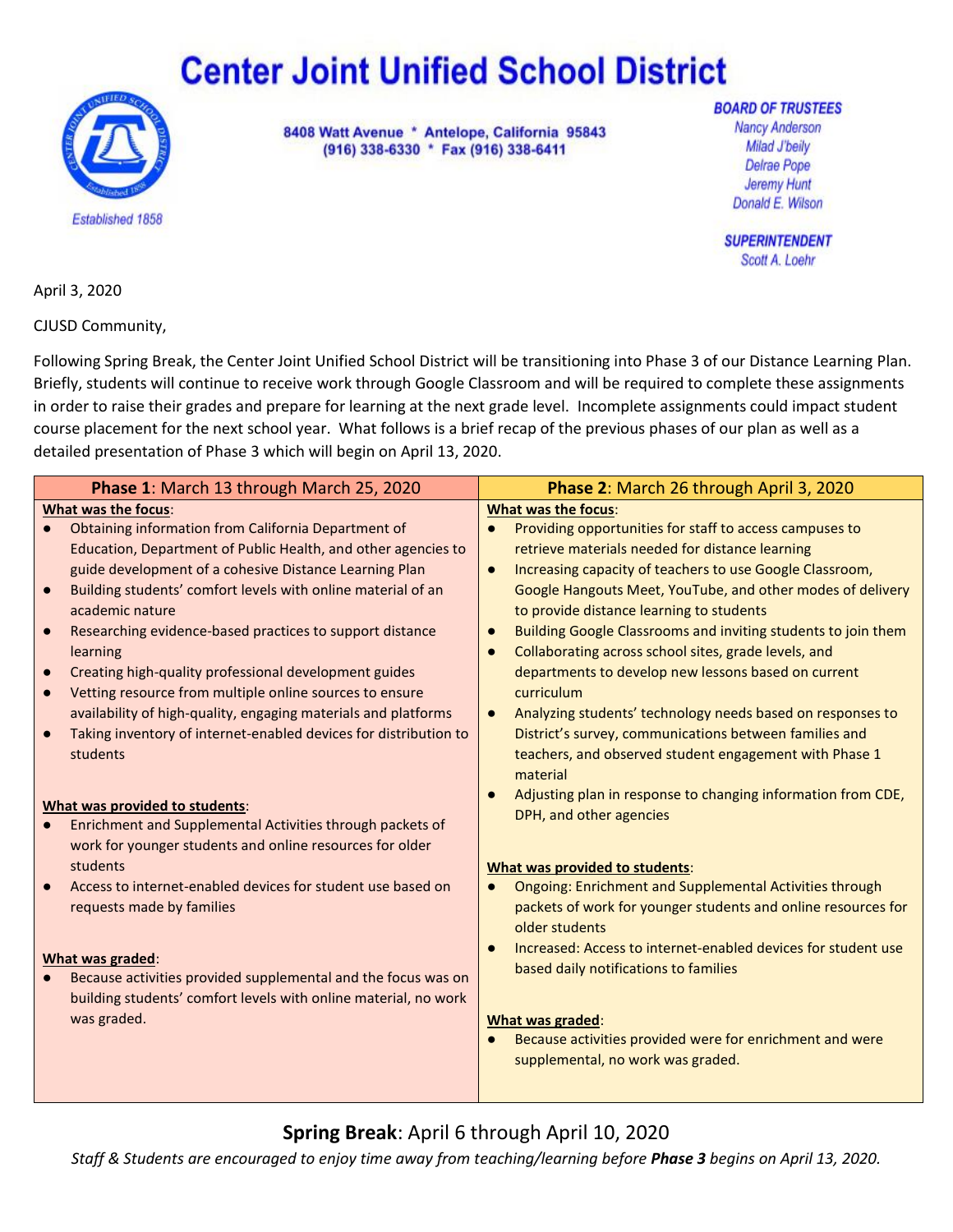# **Center Joint Unified School District**



8408 Watt Avenue \* Antelope, California 95843 (916) 338-6330 \* Fax (916) 338-6411

**BOARD OF TRUSTEES Nancy Anderson** Milad J'beily Delrae Pope Jeremy Hunt Donald E. Wilson

**SUPERINTENDENT** Scott A. Loehr

April 3, 2020

CJUSD Community,

Following Spring Break, the Center Joint Unified School District will be transitioning into Phase 3 of our Distance Learning Plan. Briefly, students will continue to receive work through Google Classroom and will be required to complete these assignments in order to raise their grades and prepare for learning at the next grade level. Incomplete assignments could impact student course placement for the next school year. What follows is a brief recap of the previous phases of our plan as well as a detailed presentation of Phase 3 which will begin on April 13, 2020.

|           | Phase 1: March 13 through March 25, 2020                         | Phase 2: March 26 through April 3, 2020                                    |  |  |  |
|-----------|------------------------------------------------------------------|----------------------------------------------------------------------------|--|--|--|
|           | What was the focus:                                              | <b>What was the focus:</b>                                                 |  |  |  |
|           | Obtaining information from California Department of              | Providing opportunities for staff to access campuses to                    |  |  |  |
|           | Education, Department of Public Health, and other agencies to    | retrieve materials needed for distance learning                            |  |  |  |
|           | guide development of a cohesive Distance Learning Plan           | Increasing capacity of teachers to use Google Classroom,<br>$\bullet$      |  |  |  |
|           | Building students' comfort levels with online material of an     | Google Hangouts Meet, YouTube, and other modes of delivery                 |  |  |  |
|           | academic nature                                                  | to provide distance learning to students                                   |  |  |  |
| $\bullet$ | Researching evidence-based practices to support distance         | Building Google Classrooms and inviting students to join them              |  |  |  |
|           | learning                                                         | Collaborating across school sites, grade levels, and                       |  |  |  |
| $\bullet$ | Creating high-quality professional development guides            | departments to develop new lessons based on current                        |  |  |  |
|           | Vetting resource from multiple online sources to ensure          | curriculum                                                                 |  |  |  |
|           | availability of high-quality, engaging materials and platforms   | Analyzing students' technology needs based on responses to                 |  |  |  |
|           | Taking inventory of internet-enabled devices for distribution to | District's survey, communications between families and                     |  |  |  |
|           | students                                                         | teachers, and observed student engagement with Phase 1                     |  |  |  |
|           |                                                                  | material                                                                   |  |  |  |
|           | What was provided to students:                                   | Adjusting plan in response to changing information from CDE,               |  |  |  |
|           | Enrichment and Supplemental Activities through packets of        | DPH, and other agencies                                                    |  |  |  |
|           | work for younger students and online resources for older         |                                                                            |  |  |  |
|           | students                                                         | What was provided to students:                                             |  |  |  |
|           | Access to internet-enabled devices for student use based on      | <b>Ongoing: Enrichment and Supplemental Activities through</b>             |  |  |  |
|           | requests made by families                                        | packets of work for younger students and online resources for              |  |  |  |
|           |                                                                  | older students                                                             |  |  |  |
|           |                                                                  | Increased: Access to internet-enabled devices for student use<br>$\bullet$ |  |  |  |
|           | What was graded:                                                 | based daily notifications to families                                      |  |  |  |
|           | Because activities provided supplemental and the focus was on    |                                                                            |  |  |  |
|           | building students' comfort levels with online material, no work  |                                                                            |  |  |  |
|           | was graded.                                                      | What was graded:                                                           |  |  |  |
|           |                                                                  | Because activities provided were for enrichment and were                   |  |  |  |
|           |                                                                  | supplemental, no work was graded.                                          |  |  |  |
|           |                                                                  |                                                                            |  |  |  |

## **Spring Break**: April 6 through April 10, 2020

*Staff & Students are encouraged to enjoy time away from teaching/learning before Phase 3 begins on April 13, 2020.*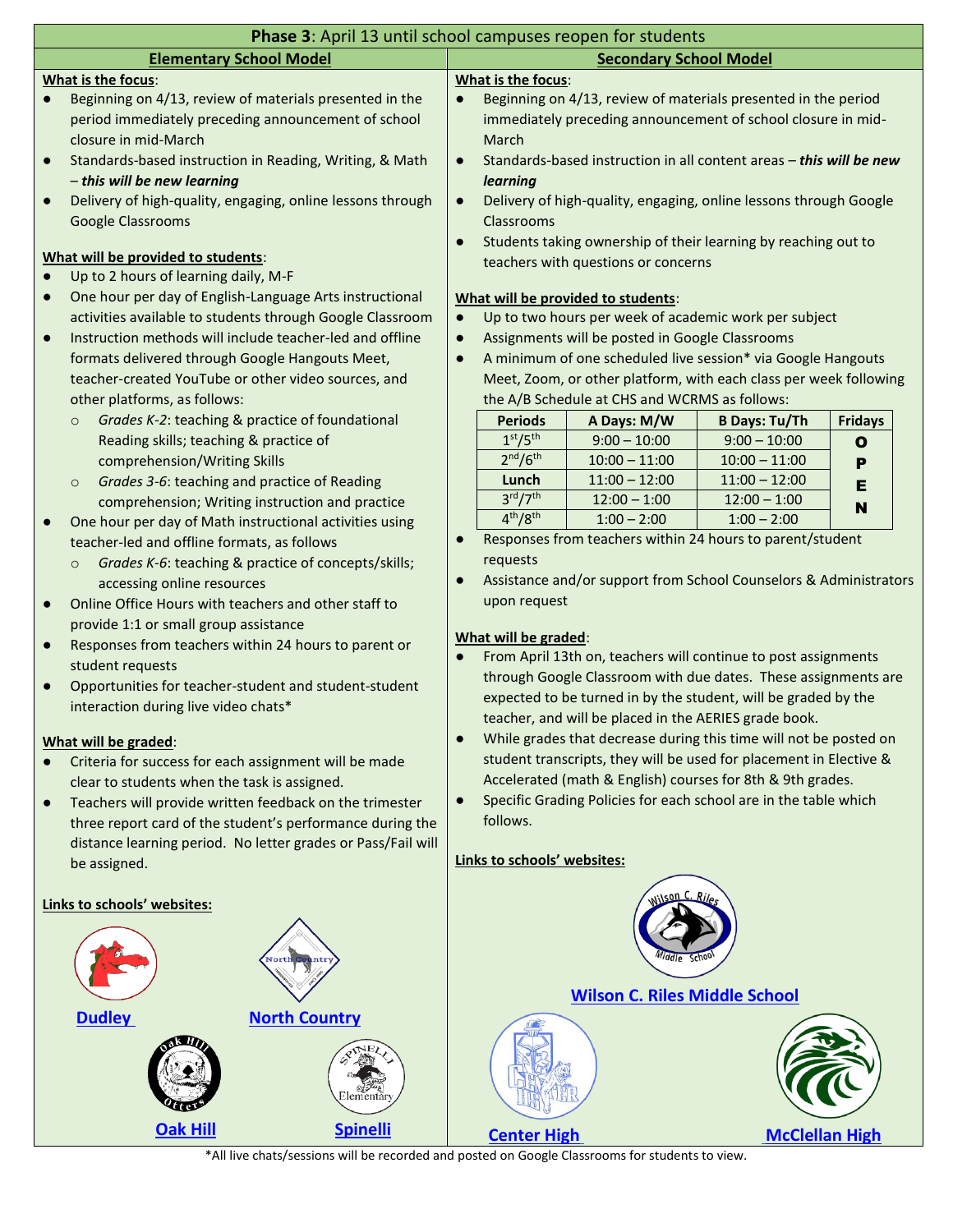|                                                                                                                           | Phase 3: April 13 until school campuses reopen for students    |                                                                                                                                |                                                                                                     |                                                 |                                                                     |                |  |
|---------------------------------------------------------------------------------------------------------------------------|----------------------------------------------------------------|--------------------------------------------------------------------------------------------------------------------------------|-----------------------------------------------------------------------------------------------------|-------------------------------------------------|---------------------------------------------------------------------|----------------|--|
| <b>Elementary School Model</b>                                                                                            |                                                                |                                                                                                                                | <b>Secondary School Model</b>                                                                       |                                                 |                                                                     |                |  |
| What is the focus:                                                                                                        |                                                                | What is the focus:                                                                                                             |                                                                                                     |                                                 |                                                                     |                |  |
|                                                                                                                           | Beginning on 4/13, review of materials presented in the        | $\bullet$                                                                                                                      |                                                                                                     |                                                 | Beginning on 4/13, review of materials presented in the period      |                |  |
|                                                                                                                           | period immediately preceding announcement of school            |                                                                                                                                |                                                                                                     |                                                 | immediately preceding announcement of school closure in mid-        |                |  |
|                                                                                                                           | closure in mid-March                                           |                                                                                                                                | March                                                                                               |                                                 |                                                                     |                |  |
| $\bullet$                                                                                                                 | Standards-based instruction in Reading, Writing, & Math        | $\bullet$                                                                                                                      |                                                                                                     |                                                 | Standards-based instruction in all content areas - this will be new |                |  |
|                                                                                                                           | - this will be new learning                                    |                                                                                                                                | learning                                                                                            |                                                 |                                                                     |                |  |
| $\bullet$                                                                                                                 | Delivery of high-quality, engaging, online lessons through     | $\bullet$                                                                                                                      |                                                                                                     |                                                 | Delivery of high-quality, engaging, online lessons through Google   |                |  |
|                                                                                                                           | <b>Google Classrooms</b>                                       |                                                                                                                                | Classrooms                                                                                          |                                                 |                                                                     |                |  |
|                                                                                                                           |                                                                | $\bullet$                                                                                                                      | Students taking ownership of their learning by reaching out to                                      |                                                 |                                                                     |                |  |
|                                                                                                                           | What will be provided to students:                             |                                                                                                                                |                                                                                                     | teachers with questions or concerns             |                                                                     |                |  |
|                                                                                                                           | Up to 2 hours of learning daily, M-F                           |                                                                                                                                |                                                                                                     |                                                 |                                                                     |                |  |
| $\bullet$                                                                                                                 | One hour per day of English-Language Arts instructional        |                                                                                                                                |                                                                                                     | What will be provided to students:              |                                                                     |                |  |
|                                                                                                                           | activities available to students through Google Classroom      | $\bullet$                                                                                                                      |                                                                                                     |                                                 | Up to two hours per week of academic work per subject               |                |  |
| $\bullet$                                                                                                                 | Instruction methods will include teacher-led and offline       | $\bullet$                                                                                                                      |                                                                                                     | Assignments will be posted in Google Classrooms |                                                                     |                |  |
|                                                                                                                           | formats delivered through Google Hangouts Meet,                | $\bullet$                                                                                                                      |                                                                                                     |                                                 | A minimum of one scheduled live session* via Google Hangouts        |                |  |
|                                                                                                                           | teacher-created YouTube or other video sources, and            |                                                                                                                                |                                                                                                     |                                                 | Meet, Zoom, or other platform, with each class per week following   |                |  |
|                                                                                                                           | other platforms, as follows:                                   |                                                                                                                                |                                                                                                     | the A/B Schedule at CHS and WCRMS as follows:   |                                                                     |                |  |
|                                                                                                                           | Grades K-2: teaching & practice of foundational<br>$\circ$     |                                                                                                                                | <b>Periods</b>                                                                                      | A Days: M/W                                     | <b>B Days: Tu/Th</b>                                                | <b>Fridays</b> |  |
|                                                                                                                           | Reading skills; teaching & practice of                         |                                                                                                                                | 1 <sup>st</sup> /5 <sup>th</sup>                                                                    | $9:00 - 10:00$                                  | $9:00 - 10:00$                                                      | $\mathbf{o}$   |  |
|                                                                                                                           | comprehension/Writing Skills                                   |                                                                                                                                | 2 <sup>nd</sup> /6 <sup>th</sup>                                                                    | $10:00 - 11:00$                                 | $10:00 - 11:00$                                                     |                |  |
|                                                                                                                           |                                                                |                                                                                                                                | Lunch                                                                                               | $11:00 - 12:00$                                 | $11:00 - 12:00$                                                     | P              |  |
|                                                                                                                           | Grades 3-6: teaching and practice of Reading<br>$\circ$        |                                                                                                                                | $3^{\text{rd}}/7^{\text{th}}$                                                                       | $12:00 - 1:00$                                  | $12:00 - 1:00$                                                      | Е              |  |
|                                                                                                                           | comprehension; Writing instruction and practice                |                                                                                                                                | 4 <sup>th</sup> /8 <sup>th</sup>                                                                    | $1:00 - 2:00$                                   | $1:00 - 2:00$                                                       | N              |  |
| $\bullet$                                                                                                                 | One hour per day of Math instructional activities using        | $\bullet$                                                                                                                      |                                                                                                     |                                                 | Responses from teachers within 24 hours to parent/student           |                |  |
|                                                                                                                           | teacher-led and offline formats, as follows                    |                                                                                                                                | requests                                                                                            |                                                 |                                                                     |                |  |
|                                                                                                                           | Grades K-6: teaching & practice of concepts/skills;<br>$\circ$ | $\bullet$                                                                                                                      |                                                                                                     |                                                 |                                                                     |                |  |
|                                                                                                                           | accessing online resources                                     |                                                                                                                                |                                                                                                     |                                                 | Assistance and/or support from School Counselors & Administrators   |                |  |
| $\bullet$                                                                                                                 | Online Office Hours with teachers and other staff to           |                                                                                                                                | upon request                                                                                        |                                                 |                                                                     |                |  |
|                                                                                                                           | provide 1:1 or small group assistance                          |                                                                                                                                |                                                                                                     |                                                 |                                                                     |                |  |
| $\bullet$                                                                                                                 | Responses from teachers within 24 hours to parent or           |                                                                                                                                | What will be graded:<br>From April 13th on, teachers will continue to post assignments<br>$\bullet$ |                                                 |                                                                     |                |  |
|                                                                                                                           | student requests                                               |                                                                                                                                | through Google Classroom with due dates. These assignments are                                      |                                                 |                                                                     |                |  |
| $\bullet$                                                                                                                 | Opportunities for teacher-student and student-student          | expected to be turned in by the student, will be graded by the                                                                 |                                                                                                     |                                                 |                                                                     |                |  |
|                                                                                                                           | interaction during live video chats*                           |                                                                                                                                |                                                                                                     |                                                 |                                                                     |                |  |
|                                                                                                                           |                                                                | teacher, and will be placed in the AERIES grade book.                                                                          |                                                                                                     |                                                 |                                                                     |                |  |
|                                                                                                                           | What will be graded:                                           | While grades that decrease during this time will not be posted on<br>$\bullet$                                                 |                                                                                                     |                                                 |                                                                     |                |  |
|                                                                                                                           | Criteria for success for each assignment will be made          | student transcripts, they will be used for placement in Elective &                                                             |                                                                                                     |                                                 |                                                                     |                |  |
|                                                                                                                           | clear to students when the task is assigned.                   | Accelerated (math & English) courses for 8th & 9th grades.<br>Specific Grading Policies for each school are in the table which |                                                                                                     |                                                 |                                                                     |                |  |
| $\bullet$                                                                                                                 | Teachers will provide written feedback on the trimester        | $\bullet$                                                                                                                      |                                                                                                     |                                                 |                                                                     |                |  |
| three report card of the student's performance during the<br>distance learning period. No letter grades or Pass/Fail will |                                                                |                                                                                                                                | follows.                                                                                            |                                                 |                                                                     |                |  |
|                                                                                                                           |                                                                |                                                                                                                                |                                                                                                     |                                                 |                                                                     |                |  |
|                                                                                                                           | be assigned.                                                   |                                                                                                                                | Links to schools' websites:                                                                         |                                                 |                                                                     |                |  |
|                                                                                                                           |                                                                |                                                                                                                                |                                                                                                     |                                                 |                                                                     |                |  |
| Links to schools' websites:                                                                                               |                                                                |                                                                                                                                |                                                                                                     |                                                 |                                                                     |                |  |
|                                                                                                                           |                                                                |                                                                                                                                |                                                                                                     |                                                 |                                                                     |                |  |
|                                                                                                                           |                                                                |                                                                                                                                |                                                                                                     |                                                 |                                                                     |                |  |
|                                                                                                                           |                                                                |                                                                                                                                |                                                                                                     |                                                 |                                                                     |                |  |
|                                                                                                                           |                                                                |                                                                                                                                | <b>Wilson C. Riles Middle School</b>                                                                |                                                 |                                                                     |                |  |
|                                                                                                                           |                                                                |                                                                                                                                |                                                                                                     |                                                 |                                                                     |                |  |
|                                                                                                                           | <b>North Country</b><br><b>Dudley</b>                          |                                                                                                                                |                                                                                                     |                                                 |                                                                     |                |  |
|                                                                                                                           |                                                                |                                                                                                                                |                                                                                                     |                                                 |                                                                     |                |  |
|                                                                                                                           |                                                                |                                                                                                                                |                                                                                                     |                                                 |                                                                     |                |  |
|                                                                                                                           |                                                                |                                                                                                                                |                                                                                                     |                                                 |                                                                     |                |  |
|                                                                                                                           | Elementăi                                                      |                                                                                                                                |                                                                                                     |                                                 |                                                                     |                |  |
|                                                                                                                           | Oak Hill<br><b>Spinelli</b>                                    |                                                                                                                                | <b>Center High</b>                                                                                  |                                                 | <b>McClellan High</b>                                               |                |  |

\*All live chats/sessions will be recorded and posted on Google Classrooms for students to view.

**[Center High](https://chs.centerusd.org/) [McClellan High](https://mhs.centerusd.org/)**